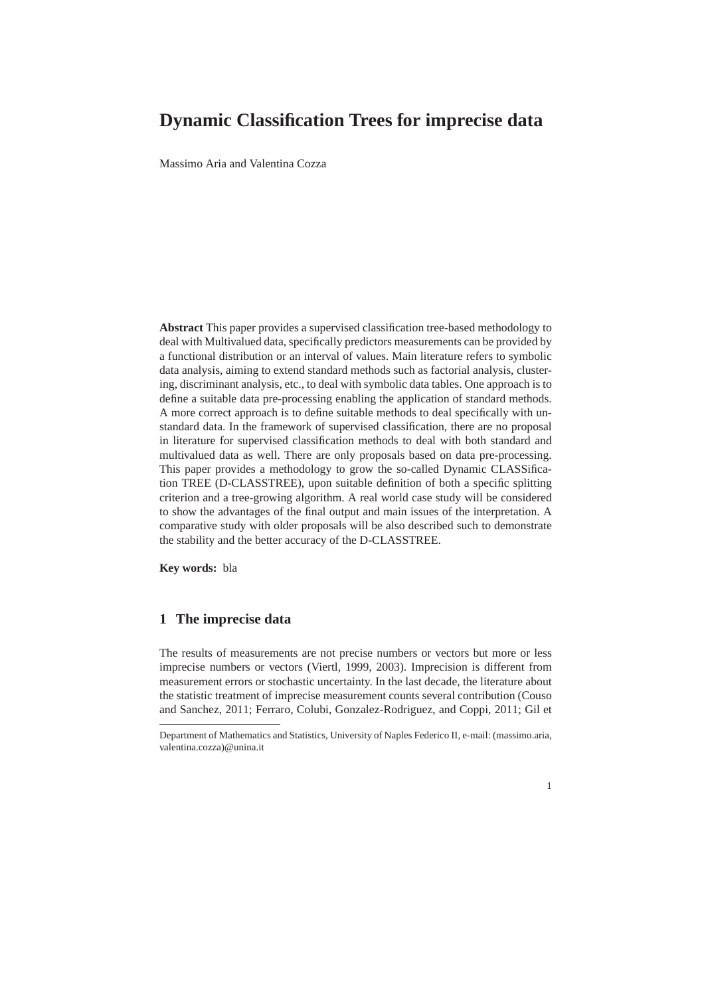# **Dynamic Classification Trees for imprecise data**

Massimo Aria and Valentina Cozza

**Abstract** This paper provides a supervised classification tree-based methodology to deal with Multivalued data, specifically predictors measurements can be provided by a functional distribution or an interval of values. Main literature refers to symbolic data analysis, aiming to extend standard methods such as factorial analysis, clustering, discriminant analysis, etc., to deal with symbolic data tables. One approach is to define a suitable data pre-processing enabling the application of standard methods. A more correct approach is to define suitable methods to deal specifically with unstandard data. In the framework of supervised classification, there are no proposal in literature for supervised classification methods to deal with both standard and multivalued data as well. There are only proposals based on data pre-processing. This paper provides a methodology to grow the so-called Dynamic CLASSification TREE (D-CLASSTREE), upon suitable definition of both a specific splitting criterion and a tree-growing algorithm. A real world case study will be considered to show the advantages of the final output and main issues of the interpretation. A comparative study with older proposals will be also described such to demonstrate the stability and the better accuracy of the D-CLASSTREE.

**Key words:** bla

# **1 The imprecise data**

The results of measurements are not precise numbers or vectors but more or less imprecise numbers or vectors (Viertl, 1999, 2003). Imprecision is different from measurement errors or stochastic uncertainty. In the last decade, the literature about the statistic treatment of imprecise measurement counts several contribution (Couso and Sanchez, 2011; Ferraro, Colubi, Gonzalez-Rodriguez, and Coppi, 2011; Gil et

1

Department of Mathematics and Statistics, University of Naples Federico II, e-mail: (massimo.aria, valentina.cozza)@unina.it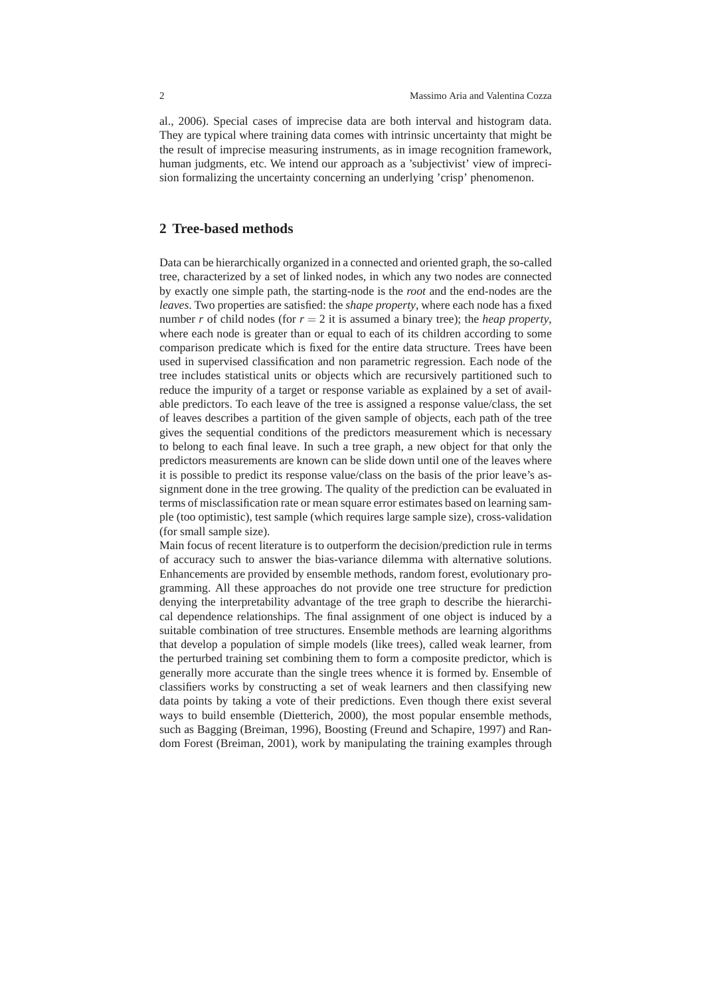al., 2006). Special cases of imprecise data are both interval and histogram data. They are typical where training data comes with intrinsic uncertainty that might be the result of imprecise measuring instruments, as in image recognition framework, human judgments, etc. We intend our approach as a 'subjectivist' view of imprecision formalizing the uncertainty concerning an underlying 'crisp' phenomenon.

## **2 Tree-based methods**

Data can be hierarchically organized in a connected and oriented graph, the so-called tree, characterized by a set of linked nodes, in which any two nodes are connected by exactly one simple path, the starting-node is the *root* and the end-nodes are the *leaves*. Two properties are satisfied: the *shape property*, where each node has a fixed number *r* of child nodes (for  $r = 2$  it is assumed a binary tree); the *heap property*, where each node is greater than or equal to each of its children according to some comparison predicate which is fixed for the entire data structure. Trees have been used in supervised classification and non parametric regression. Each node of the tree includes statistical units or objects which are recursively partitioned such to reduce the impurity of a target or response variable as explained by a set of available predictors. To each leave of the tree is assigned a response value/class, the set of leaves describes a partition of the given sample of objects, each path of the tree gives the sequential conditions of the predictors measurement which is necessary to belong to each final leave. In such a tree graph, a new object for that only the predictors measurements are known can be slide down until one of the leaves where it is possible to predict its response value/class on the basis of the prior leave's assignment done in the tree growing. The quality of the prediction can be evaluated in terms of misclassification rate or mean square error estimates based on learning sample (too optimistic), test sample (which requires large sample size), cross-validation (for small sample size).

Main focus of recent literature is to outperform the decision/prediction rule in terms of accuracy such to answer the bias-variance dilemma with alternative solutions. Enhancements are provided by ensemble methods, random forest, evolutionary programming. All these approaches do not provide one tree structure for prediction denying the interpretability advantage of the tree graph to describe the hierarchical dependence relationships. The final assignment of one object is induced by a suitable combination of tree structures. Ensemble methods are learning algorithms that develop a population of simple models (like trees), called weak learner, from the perturbed training set combining them to form a composite predictor, which is generally more accurate than the single trees whence it is formed by. Ensemble of classifiers works by constructing a set of weak learners and then classifying new data points by taking a vote of their predictions. Even though there exist several ways to build ensemble (Dietterich, 2000), the most popular ensemble methods, such as Bagging (Breiman, 1996), Boosting (Freund and Schapire, 1997) and Random Forest (Breiman, 2001), work by manipulating the training examples through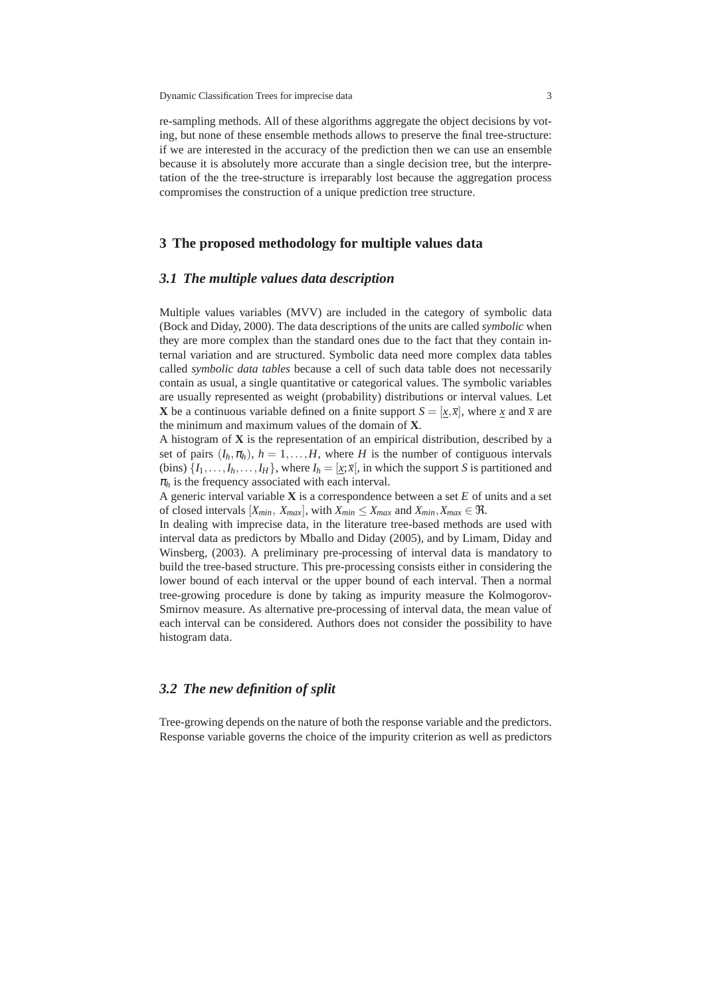Dynamic Classification Trees for imprecise data 3

re-sampling methods. All of these algorithms aggregate the object decisions by voting, but none of these ensemble methods allows to preserve the final tree-structure: if we are interested in the accuracy of the prediction then we can use an ensemble because it is absolutely more accurate than a single decision tree, but the interpretation of the the tree-structure is irreparably lost because the aggregation process compromises the construction of a unique prediction tree structure.

# **3 The proposed methodology for multiple values data**

## *3.1 The multiple values data description*

Multiple values variables (MVV) are included in the category of symbolic data (Bock and Diday, 2000). The data descriptions of the units are called *symbolic* when they are more complex than the standard ones due to the fact that they contain internal variation and are structured. Symbolic data need more complex data tables called *symbolic data tables* because a cell of such data table does not necessarily contain as usual, a single quantitative or categorical values. The symbolic variables are usually represented as weight (probability) distributions or interval values. Let **X** be a continuous variable defined on a finite support  $S = [x, \bar{x}]$ , where *x* and  $\bar{x}$  are the minimum and maximum values of the domain of **X**.

A histogram of **X** is the representation of an empirical distribution, described by a set of pairs  $(I_h, \pi_h)$ ,  $h = 1, \ldots, H$ , where *H* is the number of contiguous intervals (bins)  $\{I_1, \ldots, I_h, \ldots, I_H\}$ , where  $I_h = [\underline{x}; \overline{x}]$ , in which the support *S* is partitioned and  $\pi_h$  is the frequency associated with each interval.

A generic interval variable **X** is a correspondence between a set *E* of units and a set of closed intervals  $[X_{min}, X_{max}]$ , with  $X_{min} \leq X_{max}$  and  $X_{min}, X_{max} \in \mathcal{R}$ .

In dealing with imprecise data, in the literature tree-based methods are used with interval data as predictors by Mballo and Diday (2005), and by Limam, Diday and Winsberg, (2003). A preliminary pre-processing of interval data is mandatory to build the tree-based structure. This pre-processing consists either in considering the lower bound of each interval or the upper bound of each interval. Then a normal tree-growing procedure is done by taking as impurity measure the Kolmogorov-Smirnov measure. As alternative pre-processing of interval data, the mean value of each interval can be considered. Authors does not consider the possibility to have histogram data.

#### *3.2 The new definition of split*

Tree-growing depends on the nature of both the response variable and the predictors. Response variable governs the choice of the impurity criterion as well as predictors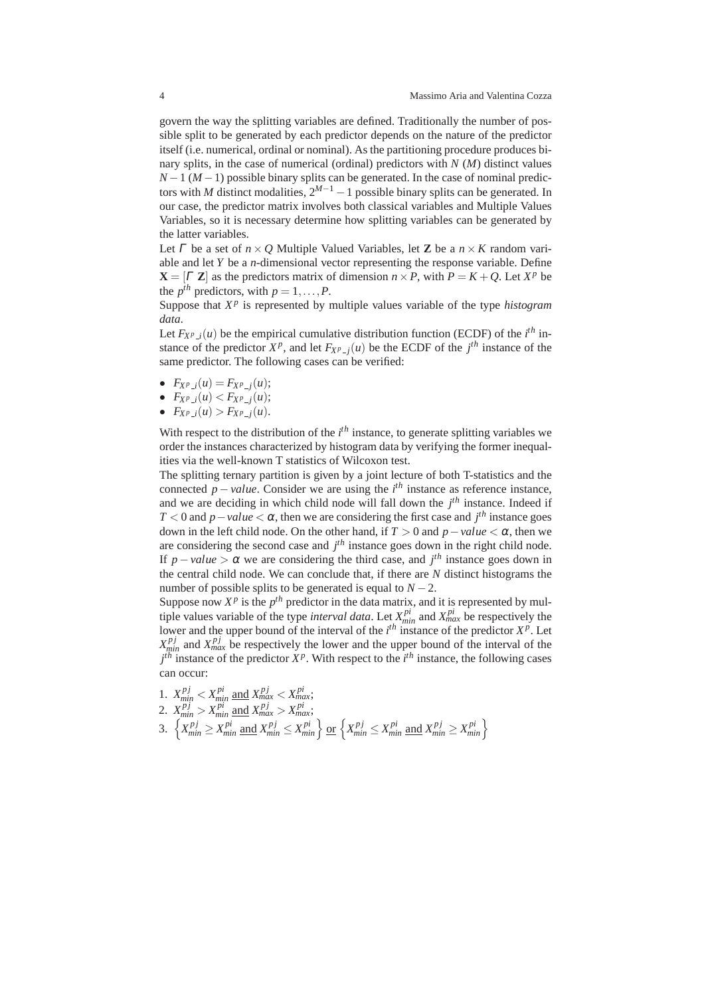govern the way the splitting variables are defined. Traditionally the number of possible split to be generated by each predictor depends on the nature of the predictor itself (i.e. numerical, ordinal or nominal). As the partitioning procedure produces binary splits, in the case of numerical (ordinal) predictors with *N* (*M*) distinct values  $N-1$  ( $M-1$ ) possible binary splits can be generated. In the case of nominal predictors with *M* distinct modalities,  $2^{M-1} - 1$  possible binary splits can be generated. In our case, the predictor matrix involves both classical variables and Multiple Values Variables, so it is necessary determine how splitting variables can be generated by the latter variables.

Let  $\Gamma$  be a set of  $n \times Q$  Multiple Valued Variables, let **Z** be a  $n \times K$  random variable and let *Y* be a *n*-dimensional vector representing the response variable. Define  $X = [T \, Z]$  as the predictors matrix of dimension  $n \times P$ , with  $P = K + Q$ . Let  $X^p$  be the  $p^{th}$  predictors, with  $p = 1, \ldots, P$ .

Suppose that  $X^p$  is represented by multiple values variable of the type *histogram data*.

Let  $F_{X^p(i)}(u)$  be the empirical cumulative distribution function (ECDF) of the *i*<sup>th</sup> instance of the predictor  $X^p$ , and let  $F_{X^p - j}(u)$  be the ECDF of the  $j^{th}$  instance of the same predictor. The following cases can be verified:

- $F_{X^p(i)}(u) = F_{X^p(i)}(u);$
- $F_{XP}$   $_i(u) < F_{XP}$   $_i(u);$
- $F_{X^p}$   $_i(u) > F_{X^p}$   $_i(u)$ .

With respect to the distribution of the *i*<sup>th</sup> instance, to generate splitting variables we order the instances characterized by histogram data by verifying the former inequalities via the well-known T statistics of Wilcoxon test.

The splitting ternary partition is given by a joint lecture of both T-statistics and the connected  $p - value$ . Consider we are using the  $i<sup>th</sup>$  instance as reference instance, and we are deciding in which child node will fall down the *j th* instance. Indeed if *T* < 0 and *p* − *value* <  $\alpha$ , then we are considering the first case and *j*<sup>th</sup> instance goes down in the left child node. On the other hand, if  $T > 0$  and  $p - value < \alpha$ , then we are considering the second case and *j th* instance goes down in the right child node. If  $p-value > \alpha$  we are considering the third case, and  $j<sup>th</sup>$  instance goes down in the central child node. We can conclude that, if there are *N* distinct histograms the number of possible splits to be generated is equal to  $N - 2$ .

Suppose now  $X^p$  is the  $p^{th}$  predictor in the data matrix, and it is represented by multiple values variable of the type *interval data*. Let  $X_{min}^{pi}$  and  $X_{max}^{pi}$  be respectively the lower and the upper bound of the interval of the  $i<sup>th</sup>$  instance of the predictor  $X^p$ . Let  $X_{min}^{p_j}$  and  $X_{max}^{p_j}$  be respectively the lower and the upper bound of the interval of the  $j<sup>th</sup>$  instance of the predictor  $X<sup>p</sup>$ . With respect to the  $i<sup>th</sup>$  instance, the following cases can occur:

1. 
$$
X_{min}^{pj} < X_{min}^{pi}
$$
 and  $X_{max}^{pj} < X_{max}^{pi}$ ;  
\n2.  $X_{min}^{pj} > X_{min}^{pi}$  and  $X_{max}^{pj} > X_{max}^{pi}$ ;  
\n3.  $\{X_{min}^{pj} \ge X_{min}^{pi}$  and  $X_{min}^{pj} \le X_{min}^{pi}\}$  or  $\{X_{min}^{pj} \le X_{min}^{pi}$  and  $X_{min}^{pj} \ge X_{min}^{pi}\}$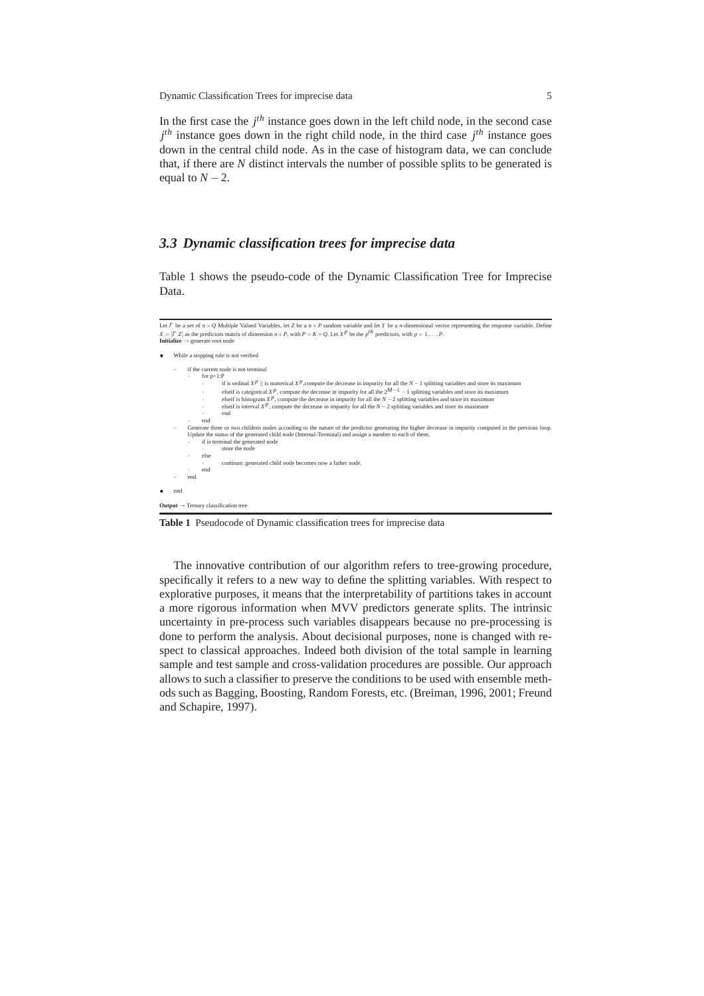Dynamic Classification Trees for imprecise data 5

In the first case the *j th* instance goes down in the left child node, in the second case  $j<sup>th</sup>$  instance goes down in the right child node, in the third case  $j<sup>th</sup>$  instance goes down in the central child node. As in the case of histogram data, we can conclude that, if there are *N* distinct intervals the number of possible splits to be generated is equal to  $N - 2$ .

## *3.3 Dynamic classification trees for imprecise data*

Table 1 shows the pseudo-code of the Dynamic Classification Tree for Imprecise Data.

```
Let Γ be a set of n × Q Multiple Valued Variables, let Z be a n × P random variable and let Y be a n-dimensional vector representing the response variable. Define
 X = [T Z] as the predictors matrix of dimension n \times P, with P = K + Q. Let X^P be the p^{fh} predictors, with p = 1, ..., P.<br>Initialize \rightarrow generate root node
      • While a stopping rule is not verified
               – if the current node is not terminal
                      for p=1:Pif is ordinal XP || is numerical XP, compute the decrease in impurity for all the N-1 splitting variables and store its maximum<br>elseif is categorical XP, compute the decrease in impurity for all the 2^{M-1} - 1 split
                      · end
        end<br>
Conerate three or two children nodes according to the nature of the predictor generating the higher decrease in impurity computed in the previous loop.<br>
Update the status of the generated child node (Internal-Terminal
                      · else
                                 · continue: generated child node becomes now a father node.
                       · end
               – end
       • end
Output → Ternary classification tree
```
**Table 1** Pseudocode of Dynamic classification trees for imprecise data

The innovative contribution of our algorithm refers to tree-growing procedure, specifically it refers to a new way to define the splitting variables. With respect to explorative purposes, it means that the interpretability of partitions takes in account a more rigorous information when MVV predictors generate splits. The intrinsic uncertainty in pre-process such variables disappears because no pre-processing is done to perform the analysis. About decisional purposes, none is changed with respect to classical approaches. Indeed both division of the total sample in learning sample and test sample and cross-validation procedures are possible. Our approach allows to such a classifier to preserve the conditions to be used with ensemble methods such as Bagging, Boosting, Random Forests, etc. (Breiman, 1996, 2001; Freund and Schapire, 1997).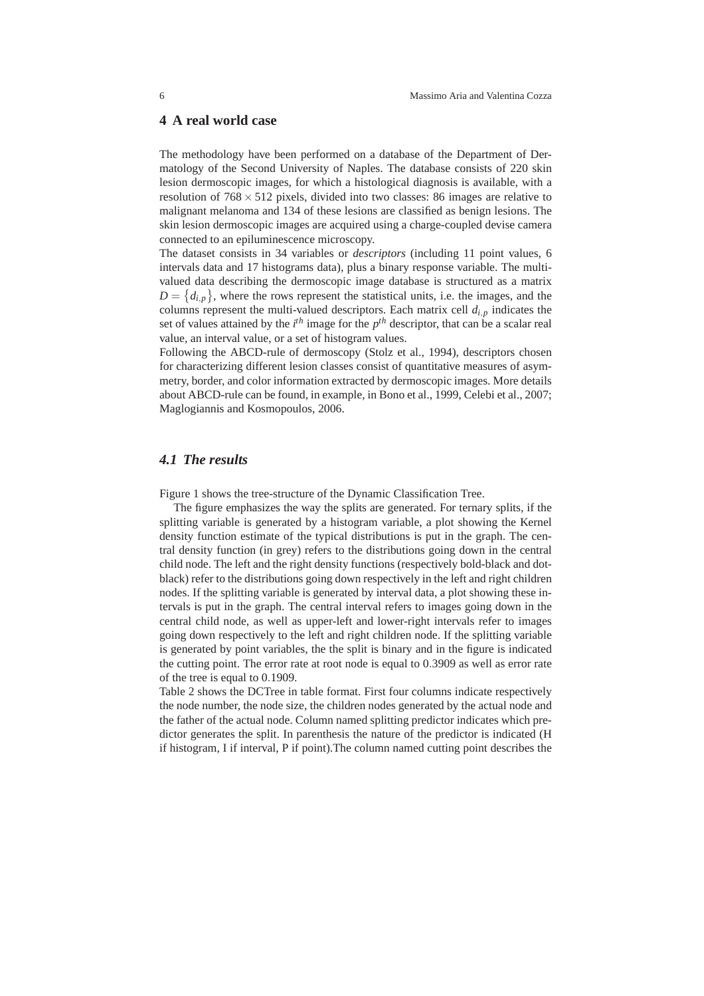#### **4 A real world case**

The methodology have been performed on a database of the Department of Dermatology of the Second University of Naples. The database consists of 220 skin lesion dermoscopic images, for which a histological diagnosis is available, with a resolution of  $768 \times 512$  pixels, divided into two classes: 86 images are relative to malignant melanoma and 134 of these lesions are classified as benign lesions. The skin lesion dermoscopic images are acquired using a charge-coupled devise camera connected to an epiluminescence microscopy.

The dataset consists in 34 variables or *descriptors* (including 11 point values, 6 intervals data and 17 histograms data), plus a binary response variable. The multivalued data describing the dermoscopic image database is structured as a matrix  $D = \{d_{i,p}\}\,$ , where the rows represent the statistical units, i.e. the images, and the columns represent the multi-valued descriptors. Each matrix cell  $d_{i,p}$  indicates the set of values attained by the  $i<sup>th</sup>$  image for the  $p<sup>th</sup>$  descriptor, that can be a scalar real value, an interval value, or a set of histogram values.

Following the ABCD-rule of dermoscopy (Stolz et al., 1994), descriptors chosen for characterizing different lesion classes consist of quantitative measures of asymmetry, border, and color information extracted by dermoscopic images. More details about ABCD-rule can be found, in example, in Bono et al., 1999, Celebi et al., 2007; Maglogiannis and Kosmopoulos, 2006.

### *4.1 The results*

Figure 1 shows the tree-structure of the Dynamic Classification Tree.

The figure emphasizes the way the splits are generated. For ternary splits, if the splitting variable is generated by a histogram variable, a plot showing the Kernel density function estimate of the typical distributions is put in the graph. The central density function (in grey) refers to the distributions going down in the central child node. The left and the right density functions (respectively bold-black and dotblack) refer to the distributions going down respectively in the left and right children nodes. If the splitting variable is generated by interval data, a plot showing these intervals is put in the graph. The central interval refers to images going down in the central child node, as well as upper-left and lower-right intervals refer to images going down respectively to the left and right children node. If the splitting variable is generated by point variables, the the split is binary and in the figure is indicated the cutting point. The error rate at root node is equal to 0.3909 as well as error rate of the tree is equal to 0.1909.

Table 2 shows the DCTree in table format. First four columns indicate respectively the node number, the node size, the children nodes generated by the actual node and the father of the actual node. Column named splitting predictor indicates which predictor generates the split. In parenthesis the nature of the predictor is indicated (H if histogram, I if interval, P if point).The column named cutting point describes the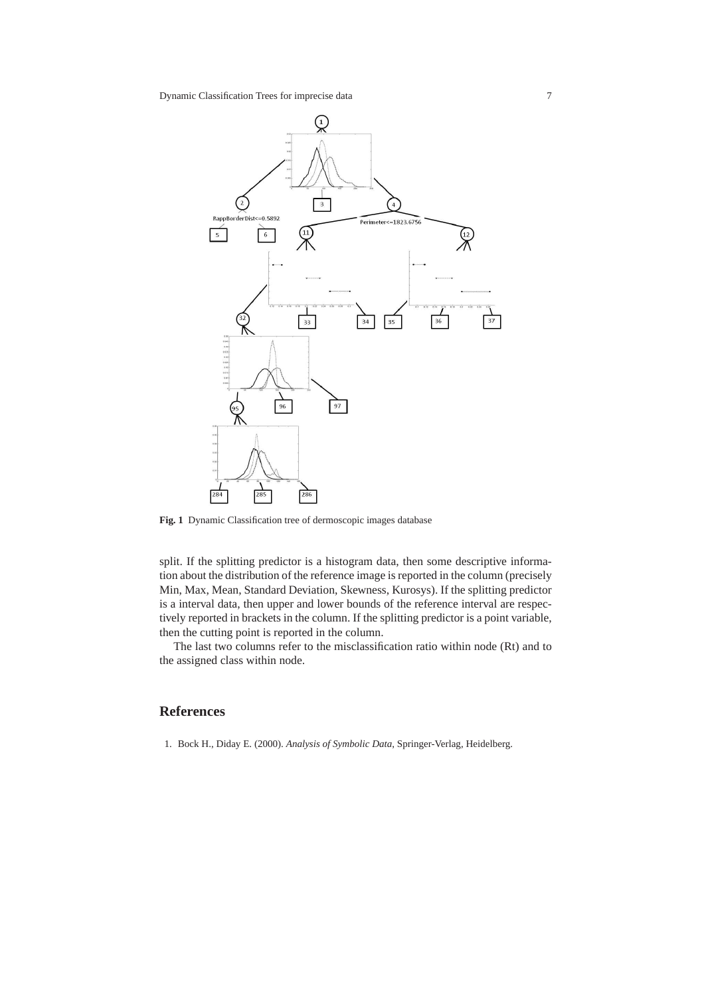

**Fig. 1** Dynamic Classification tree of dermoscopic images database

split. If the splitting predictor is a histogram data, then some descriptive information about the distribution of the reference image is reported in the column (precisely Min, Max, Mean, Standard Deviation, Skewness, Kurosys). If the splitting predictor is a interval data, then upper and lower bounds of the reference interval are respectively reported in brackets in the column. If the splitting predictor is a point variable, then the cutting point is reported in the column.

The last two columns refer to the misclassification ratio within node (Rt) and to the assigned class within node.

# **References**

1. Bock H., Diday E. (2000). *Analysis of Symbolic Data*, Springer-Verlag, Heidelberg.